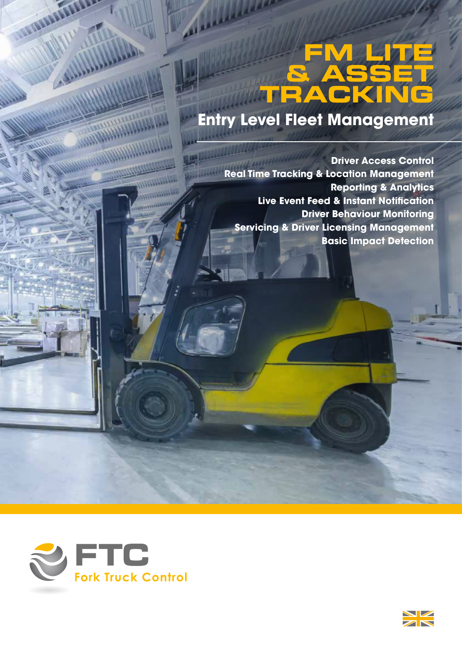# **FM LITE & ASSET TRACKING**

# **Entry Level Fleet Management**

**Driver Access Control Real Time Tracking & Location Management Reporting & Analytics Live Event Feed & Instant Notification Driver Behaviour Monitoring Servicing & Driver Licensing Management Basic Impact Detection**



**NEW** 

**AND LATER** 

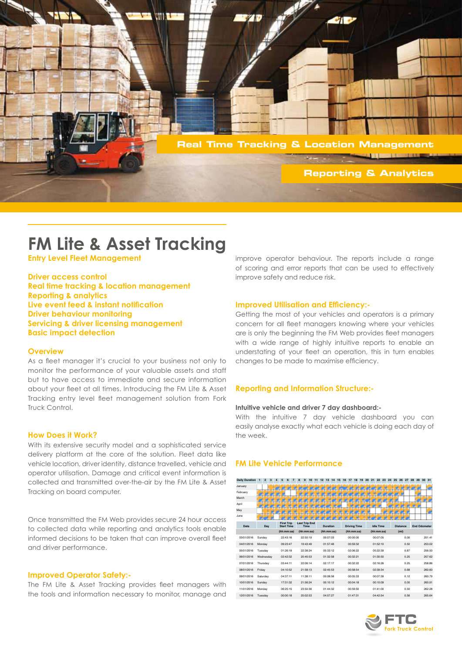

# **FM Lite & Asset Tracking**

**Entry Level Fleet Management**

**Driver access control Real time tracking & location management Reporting & analytics Live event feed & instant notification Driver behaviour monitoring Servicing & driver licensing management Basic impact detection**

### **Overview**

As a fleet manager it's crucial to your business not only to monitor the performance of your valuable assets and staff but to have access to immediate and secure information about your fleet at all times. Introducing the FM Lite & Asset Tracking entry level fleet management solution from Fork Truck Control.

## **How Does it Work?**

With its extensive security model and a sophisticated service delivery platform at the core of the solution. Fleet data like vehicle location, driver identity, distance travelled, vehicle and operator utilisation. Damage and critical event information is collected and transmitted over-the-air by the FM Lite & Asset Tracking on board computer.

Once transmitted the FM Web provides secure 24 hour access to collected data while reporting and analytics tools enable informed decisions to be taken that can improve overall fleet and driver performance.

# **Improved Operator Safety:-**

The FM Lite & Asset Tracking provides fleet managers with the tools and information necessary to monitor, manage and

improve operator behaviour. The reports include a range of scoring and error reports that can be used to effectively improve safety and reduce risk.

# **Improved Utilisation and Efficiency:-**

Getting the most of your vehicles and operators is a primary concern for all fleet managers knowing where your vehicles are is only the beginning the FM Web provides fleet managers with a wide range of highly intuitive reports to enable an understating of your fleet an operation, this in turn enables changes to be made to maximise efficiency.

# **Reporting and Information Structure:-**

### **Intuitive vehicle and driver 7 day dashboard:-**

With the intuitive 7 day vehicle dashboard you can easily analyse exactly what each vehicle is doing each day of the week.

# **FM Lite Vehicle Performance**

| <b>Daily Duration</b> | $\overline{2}$<br>3<br>$\mathbf{1}$ | 7<br>5<br>6                            | 8<br>$\mathbf{Q}$<br>10<br>11 | 12<br>13<br>15<br>14 | 16<br>17<br>18<br>19 | 24<br>20<br>21<br>22<br>23 | 25<br>27<br>26    | 29<br>30 31<br>28   |
|-----------------------|-------------------------------------|----------------------------------------|-------------------------------|----------------------|----------------------|----------------------------|-------------------|---------------------|
| January               |                                     |                                        |                               |                      |                      |                            |                   |                     |
| February              |                                     |                                        |                               |                      |                      |                            |                   |                     |
| March                 |                                     |                                        |                               |                      |                      |                            |                   |                     |
| April                 |                                     |                                        |                               |                      |                      |                            |                   |                     |
| May                   |                                     |                                        |                               |                      |                      |                            |                   |                     |
| June                  |                                     |                                        |                               |                      |                      |                            |                   |                     |
| Date                  | Day                                 | <b>First Trip</b><br><b>Start Time</b> | <b>Last Trip End</b><br>Time  | <b>Duration</b>      | <b>Driving Time</b>  | <b>Idle Time</b>           | <b>Distance</b>   | <b>End Odometer</b> |
|                       |                                     | (hh:mm:ss)                             | (hh:mm:ss)                    | (hh:mm:ss)           | (hh:mm:ss)           | (hh:mm:ss)                 | (m <sub>i</sub> ) |                     |
| 03/01/2016            | Sundav                              | 22:43:16                               | 22:50:19                      | 00:07:03             | 00:00:00             | 00:07:05                   | 0.00              | 251.41              |
| 04/01/2016            | Monday                              | 09:23:47                               | 19:43:49                      | 01:57:46             | 00:59:32             | 01:52:10                   | 0.50              | 253.02              |
| 05/01/2016            | Tuesday                             | 01:26:19                               | 22:38:24                      | 05:33:12             | 02:06:22             | 05:22:39                   | 0.87              | 256.50              |
| 06/01/2016            | Wednesday                           | 02:42:32                               | 20:45:53                      | 01:32:58             | 00:32:21             | 01:30:50                   | 0.25              | 257.62              |
| 07/01/2016            | Thursday                            | 03:44:11                               | 22:06:14                      | 02:17:17             | 00:32:22             | 02:16:26                   | 0.25              | 258.86              |
| 08/01/2016            | Friday                              | 04:10:52                               | 21:58:13                      | 02:45:53             | 00:58:54             | 02:39:34                   | 0.68              | 260.60              |
| 09/01/2016            | Saturday                            | 04:37:11                               | 11:38:11                      | 00:08:56             | 00:05:33             | 00:07:39                   | 0.12              | 260 79              |
| 10/01/2016            | Sunday                              | 17:31:32                               | 21:56:24                      | 00:10:12             | 00:04:18             | 00:10:09                   | 0.00              | 260.91              |
| 11/01/2016            | Monday                              | 06:25:15                               | 23:50:36                      | 01:44:32             | 00:59:50             | 01:41:00                   | 0.50              | 262.28              |
| 12/01/2016            | Tuesday                             | 00:00:18                               | 20:02:53                      | 04:57:27             | 01:47:31             | 04:42:54                   | 0.56              | 265 64              |

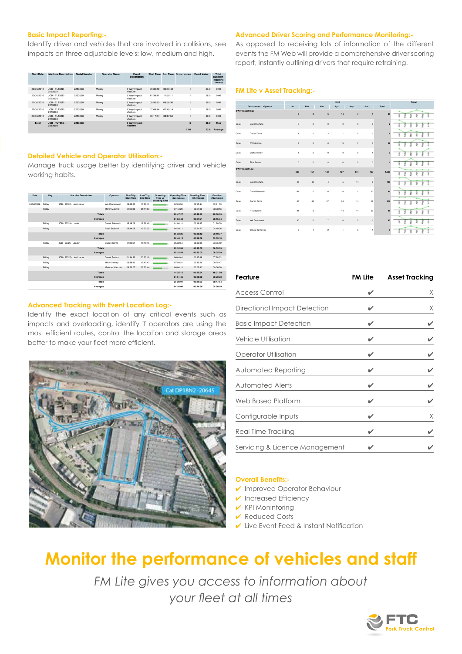# **Basic Impact Reporting:-**

Identify driver and vehicles that are involved in collisions, see impacts on three adjustable levels: low, medium and high.

| <b>Start Date</b> | <b>Machine Description</b>   | <b>Serial Number</b> | <b>Operator Name</b> | <b>Fvent</b><br><b>Description</b> |          |          | <b>Start Time End Time Occurrences</b> | <b>Fvent Value</b> | Total<br><b>Duration</b><br>(Machine<br>Hours) |
|-------------------|------------------------------|----------------------|----------------------|------------------------------------|----------|----------|----------------------------------------|--------------------|------------------------------------------------|
| 20/06/2016        | JCB - TLT35D -<br>2253598    | 2253598              | Manny                | 3 Way Impact<br>Medium             | 09:30:48 | 09:30:48 |                                        | 23.0               | 0.00                                           |
| 20/06/2016        | JCB - TLT35D -<br>2253598    | 2253598              | Manny                | 3 Way Impact<br>Medium             | 11:39:11 | 11:39:11 |                                        | 28.0               | 0.00                                           |
| 21/06/2016        | $ICB - TI$ T35D -<br>2253598 | 2253598              | Manny                | 3 Way Impact<br>Medium             | 08:56:30 | 08:56:30 |                                        | 19.0               | 0.00                                           |
| 22/06/2016        | JCB - TLT35D -<br>2253598    | 2253598              | Manny                | 3 Way Impact<br>Medium             | 07:49:14 | 07:49:14 |                                        | 28.0               | 0.00                                           |
| 24/06/2016        | JCB - TLT35D -<br>2253598    | 2253598              | Manny                | 3 Way Impact<br>Medium             | 08:17:54 | 08:17:54 |                                        | 20.0               | 0.00                                           |
| <b>Total</b>      | $JCR - TLT35D -$<br>2253598  | 2253598              |                      | 3 Way Impact<br>Medium             |          |          | 5                                      | 28.0               | Max                                            |
|                   |                              |                      |                      |                                    |          |          | 1.00                                   | 23.6               | Average                                        |

### **Detailed Vehicle and Operator Utilisation:-**

Manage truck usage better by identifying driver and vehicle working habits.

| Date       | Day    | <b>Machine Description</b> | Operator               | <b>First Trip</b><br><b>Start Time</b> | <b>Last Trip</b><br><b>Fod Time</b> | Operating<br>Time vs<br><b>Standing Time</b> | <b>Operating Time</b><br>(hh:mm:ss) | <b>Standing Time</b><br>(hh:mm:ss) | Duration<br>(hh:mm:ss) |
|------------|--------|----------------------------|------------------------|----------------------------------------|-------------------------------------|----------------------------------------------|-------------------------------------|------------------------------------|------------------------|
| 24/06/2016 | Friday | JCB - 53322 - Line Loader  | Irek Oraczewski        | 06:33:20                               | 15:39:10                            |                                              | 02:03:59                            | 00:17:54                           | 02:21:53               |
|            | Friday |                            | Martin Maywell         | 01:29:18                               | 01:14:59                            |                                              | 07:43:28                            | 00:24:48                           | 08:08:16               |
|            |        | Totals                     |                        |                                        |                                     |                                              | 09:47:27                            | 00:42:42                           | 10:30:09               |
|            |        | Averages                   |                        |                                        |                                     |                                              | 04:53:43                            | 00:21:21                           | 05:15:04               |
|            | Friday | JCR - 53324 - Loader       | Daniel Rekowski        | 15:18:06                               | 17:28:49                            |                                              | 01:04:14                            | 00:16:45                           | 01:20:59               |
|            | Friday |                            | <b>Rafal Stolarski</b> | 06:44:09                               | 15:02:05                            |                                              | 04:28:11                            | 00:21:27                           | 04:49:38               |
|            |        | Totals                     |                        |                                        |                                     |                                              | 05:32:25                            | $00 - 38 - 12$                     | 06:10:37               |
|            |        | Averages                   |                        |                                        |                                     |                                              | $02.46 - 12$                        | 00:19:06                           | 03:05:18               |
|            | Friday | JCR - 53325 - Loader       | Darren Corns           | 07:39:51                               | 16:15:45                            |                                              | 05:32:54                            | 00:33:05                           | 06:05:59               |
|            |        | Totals                     |                        |                                        |                                     |                                              | 05:32:54                            | 00:33:05                           | 06:05:59               |
|            |        | Averages                   |                        |                                        |                                     |                                              | 05:32:54                            | 00:33:05                           | 06:05:59               |
|            | Friday | JCB - 53327 - Line Loader  | Daniel Fortuna         | 01:34:32                               | 00:33:16                            |                                              | 06:40:44                            | 00:47:48                           | 07:28:32               |
|            | Friday |                            | Martin Heeley          | 06:38:13                               | 16:47:47                            |                                              | 07:50:21                            | 00:35:26                           | 08:25:47               |
|            | Friday |                            | Mateusz Malczuk        | 06:23:07                               | 06:33:44                            |                                              | 00:04:10                            | 00:02:40                           | 00:06:50               |
|            |        | Totals                     |                        |                                        |                                     |                                              | 14:35:15                            | $01 - 25 - 54$                     | 16:01:09               |
|            |        | Averages                   |                        |                                        |                                     |                                              | $04 - 51 - 45$                      | $00 - 28 - 38$                     | $05 - 20 - 23$         |
|            |        | Totals                     |                        |                                        |                                     |                                              | 35:28:01                            | 03:19:53                           | 38:47:54               |
|            |        | Averages                   |                        |                                        |                                     |                                              | 04:26:00                            | 00:24:59                           | 04:50:59               |

# **Advanced Tracking with Event Location Log:-**

Identify the exact location of any critical events such as impacts and overloading, identify if operators are using the most efficient routes, control the location and storage areas better to make your fleet more efficient.



### **Advanced Driver Scoring and Performance Monitoring:-**

As opposed to receiving lots of information of the different events the FM Web will provide a comprehensive driver scoring report, instantly outlining drivers that require retraining.

### **FM Lite v Asset Tracking:-**

|                   |                        | 2016                                                  |                         |                |              |                |              | Trend          |                  |
|-------------------|------------------------|-------------------------------------------------------|-------------------------|----------------|--------------|----------------|--------------|----------------|------------------|
|                   | Occurrences : Operator | Jan                                                   | Feb                     | Mar            | Apr          | May            | Jun          | Total          |                  |
| 3 Way Impact High |                        | 8                                                     | $\circ$                 | 6              | 14           | $\overline{7}$ | $\mathbf{1}$ | 36             | ı                |
| Count             | Daniel Fortuna         | $\mathbf{2}% ^{T}=\mathbf{2}^{T}\times\mathbf{2}^{T}$ | $\circ$                 | $\circ$        | $\circ$      | $\circ$        | $\circ$      | $\mathbf{2}$   | ٠                |
| Count             | Darren Corns           | $\overline{\mathbf{3}}$                               | $\circ$                 | $\overline{2}$ | $\mathbf{1}$ | $\circ$        | $\circ$      | 6              | š<br>ł           |
| Count             | FTC (Ignore)           | $\mathbf{2}% ^{T}=\mathbf{2}^{T}\times\mathbf{2}^{T}$ | $\circ$                 | $\circ$        | 13           | $\overline{7}$ | $\circ$      | 22             |                  |
| Count             | Martin Heeley          | $\mathbf{1}$                                          | $\circ$                 | $\circ$        | $\circ$      | $\circ$        | 1            | $\overline{2}$ | ٠                |
| Count             | Piotr Bereta           | $\circ$                                               | $\circ$                 | $\ddot{a}$     | $\circ$      | $\circ$        | $\circ$      | A              |                  |
| 3 Way Impact Low  |                        | 333                                                   | 157                     | 132            | 127          | 144            | 127          | 1,020          | ì<br>g<br>j<br>ı |
| Count             | Daniel Fortuna         | 43                                                    | 48                      | $\ddot{a}$     | $\sqrt{5}$   | 14             | 6            | 120            | ٠                |
| Count             | Daniel Rekowski        | 61                                                    | $\circ$                 | 6              | 6            | f.             | 10           | 84             | ٠                |
| Count             | Darren Corns           | 47                                                    | 49                      | 57             | 34           | 14             | 16           | 217            | ž<br>٠           |
| Count             | FTC (Ignore)           | 21                                                    | $\overline{\mathbf{3}}$ | $\mathbf{1}$   | 14           | 14             | 33           | 86             | å<br>٠<br>z      |
| Count             | Irek Oraczewski        | 30                                                    | $\circ$                 | $\overline{7}$ | $\circ$      | $\overline{c}$ | $\mathbf{1}$ | 40             | ž<br>٠           |
| Count             | Janusz Tarnowski       | $\circ$                                               | $\mathbf{1}$            | $\overline{c}$ | $\mathbf{f}$ | $\circ$        | 1            | 5              | ٠                |

| Feature                        | FM Lite | <b>Asset Tracking</b> |  |  |
|--------------------------------|---------|-----------------------|--|--|
| <b>Access Control</b>          | ✓       | X                     |  |  |
| Directional Impact Detection   |         | X                     |  |  |
| <b>Basic Impact Detection</b>  |         |                       |  |  |
| Vehicle Utilisation            |         |                       |  |  |
| Operator Utilisation           |         |                       |  |  |
| Automated Reporting            |         |                       |  |  |
| <b>Automated Alerts</b>        |         |                       |  |  |
| Web Based Platform             |         |                       |  |  |
| Configurable Inputs            | ✔       | X                     |  |  |
| Real Time Tracking             | ✔       |                       |  |  |
| Servicing & Licence Management |         |                       |  |  |

# **Overall Benefits:-**

- ✔ Improved Operator Behaviour
- $\vee$  Increased Efficiency
- $\vee$  KPI Monintoring
- ✔ Reduced Costs
- ✔ Live Event Feed & Instant Notification

# **Monitor the performance of vehicles and staff**

*FM Lite gives you access to information about your fleet at all times*